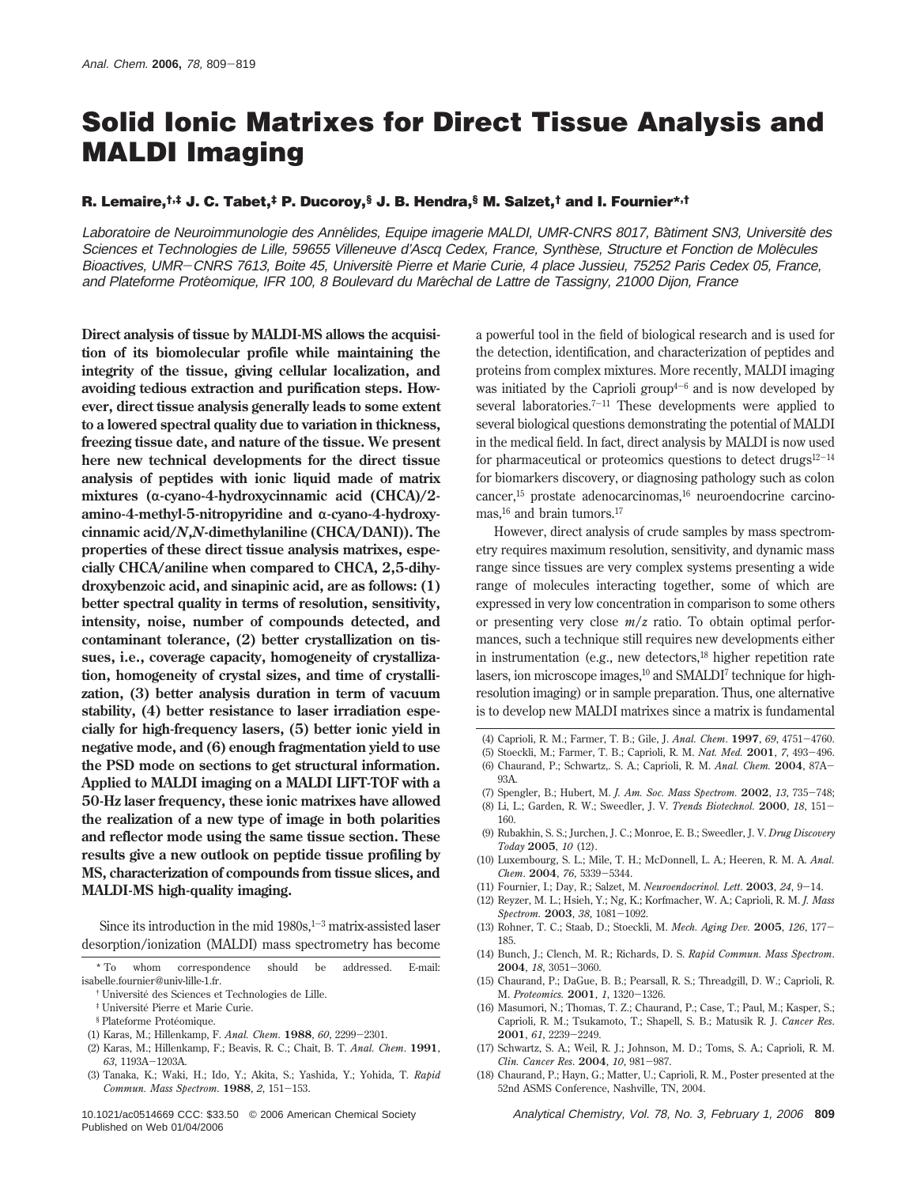# **Solid Ionic Matrixes for Direct Tissue Analysis and MALDI Imaging**

#### **R. Lemaire,†,‡ J. C. Tabet,‡ P. Ducoroy,§ J. B. Hendra,§ M. Salzet,† and I. Fournier\*,†**

Laboratoire de Neuroimmunologie des Annélides, Equipe imagerie MALDI, UMR-CNRS 8017, Bâtiment SN3, Université des Sciences et Technologies de Lille, 59655 Villeneuve d'Ascq Cedex, France, Synthese, Structure et Fonction de Molécules Bioactives, UMR-CNRS 7613, Boite 45, Université Pierre et Marie Curie, 4 place Jussieu, 75252 Paris Cedex 05, France, and Plateforme Protéomique, IFR 100, 8 Boulevard du Maréchal de Lattre de Tassigny, 21000 Dijon, France

**Direct analysis of tissue by MALDI-MS allows the acquisition of its biomolecular profile while maintaining the integrity of the tissue, giving cellular localization, and avoiding tedious extraction and purification steps. However, direct tissue analysis generally leads to some extent to a lowered spectral quality due to variation in thickness, freezing tissue date, and nature of the tissue. We present here new technical developments for the direct tissue analysis of peptides with ionic liquid made of matrix** mixtures (α-cyano-4-hydroxycinnamic acid (CHCA)/2amino-4-methyl-5-nitropyridine and α-cyano-4-hydroxy**cinnamic acid/***N***,***N***-dimethylaniline (CHCA/DANI)). The properties of these direct tissue analysis matrixes, especially CHCA/aniline when compared to CHCA, 2,5-dihydroxybenzoic acid, and sinapinic acid, are as follows: (1) better spectral quality in terms of resolution, sensitivity, intensity, noise, number of compounds detected, and contaminant tolerance, (2) better crystallization on tissues, i.e., coverage capacity, homogeneity of crystallization, homogeneity of crystal sizes, and time of crystallization, (3) better analysis duration in term of vacuum stability, (4) better resistance to laser irradiation especially for high-frequency lasers, (5) better ionic yield in negative mode, and (6) enough fragmentation yield to use the PSD mode on sections to get structural information. Applied to MALDI imaging on a MALDI LIFT-TOF with a 50-Hz laser frequency, these ionic matrixes have allowed the realization of a new type of image in both polarities and reflector mode using the same tissue section. These results give a new outlook on peptide tissue profiling by MS, characterization of compounds from tissue slices, and MALDI-MS high-quality imaging.**

Since its introduction in the mid  $1980s$ ,  $1-3$  matrix-assisted laser desorption/ionization (MALDI) mass spectrometry has become

- \* To whom correspondence should be addressed. E-mail: isabelle.fournier@univ-lille-1.fr.
	- † Universite´ des Sciences et Technologies de Lille.
	- ‡ Universite´ Pierre et Marie Curie.
	- § Plateforme Protéomique.
- (1) Karas, M.; Hillenkamp, F. *Anal. Chem*. **<sup>1988</sup>**, *<sup>60</sup>*, 2299-2301.
- (2) Karas, M.; Hillenkamp, F.; Beavis, R. C.; Chait, B. T. *Anal. Chem*. **1991**, *<sup>63</sup>*, 1193A-1203A.
- (3) Tanaka, K.; Waki, H.; Ido, Y.; Akita, S.; Yashida, Y.; Yohida, T. *Rapid Commun. Mass Spectrom*. **<sup>1988</sup>**, *<sup>2</sup>*, 151-153.

10.1021/ac0514669 CCC: \$33.50 © 2006 American Chemical Society Analytical Chemistry, Vol. 78, No. 3, February 1, 2006 **809** Published on Web 01/04/2006

a powerful tool in the field of biological research and is used for the detection, identification, and characterization of peptides and proteins from complex mixtures. More recently, MALDI imaging was initiated by the Caprioli group<sup> $4-6$ </sup> and is now developed by several laboratories.<sup>7-11</sup> These developments were applied to several biological questions demonstrating the potential of MALDI in the medical field. In fact, direct analysis by MALDI is now used for pharmaceutical or proteomics questions to detect drugs $12-14$ for biomarkers discovery, or diagnosing pathology such as colon cancer,<sup>15</sup> prostate adenocarcinomas,<sup>16</sup> neuroendocrine carcinomas,<sup>16</sup> and brain tumors.<sup>17</sup>

However, direct analysis of crude samples by mass spectrometry requires maximum resolution, sensitivity, and dynamic mass range since tissues are very complex systems presenting a wide range of molecules interacting together, some of which are expressed in very low concentration in comparison to some others or presenting very close *m*/*z* ratio. To obtain optimal performances, such a technique still requires new developments either in instrumentation (e.g., new detectors,<sup>18</sup> higher repetition rate lasers, ion microscope images,<sup>10</sup> and SMALDI<sup>7</sup> technique for highresolution imaging) or in sample preparation. Thus, one alternative is to develop new MALDI matrixes since a matrix is fundamental

- 
- (4) Caprioli, R. M.; Farmer, T. B.; Gile, J. *Anal. Chem*. **<sup>1997</sup>**, *<sup>69</sup>*, 4751-4760. (5) Stoeckli, M.; Farmer, T. B.; Caprioli, R. M. *Nat. Med.* **<sup>2001</sup>**, *<sup>7</sup>*, 493-496.
- (6) Chaurand, P.; Schwartz,. S. A.; Caprioli, R. M. *Anal. Chem.* **<sup>2004</sup>**, 87A-93A.
- (7) Spengler, B.; Hubert, M. *J. Am. Soc. Mass Spectrom.* **<sup>2002</sup>**, *<sup>13</sup>*, 735-748;
- (8) Li, L.; Garden, R. W.; Sweedler, J. V. *Trends Biotechnol.* **<sup>2000</sup>**, *<sup>18</sup>*, 151- 160.
- (9) Rubakhin, S. S.; Jurchen, J. C.; Monroe, E. B.; Sweedler, J. V. *Drug Discovery Today* **2005**, *10* (12).
- (10) Luxembourg, S. L.; Mile, T. H.; McDonnell, L. A.; Heeren, R. M. A. *Anal. Chem*. **<sup>2004</sup>**, *<sup>76</sup>*, 5339-5344.
- (11) Fournier, I.; Day, R.; Salzet, M. *Neuroendocrinol. Lett*. **<sup>2003</sup>**, *<sup>24</sup>*, 9-14.
- (12) Reyzer, M. L.; Hsieh, Y.; Ng, K.; Korfmacher, W. A.; Caprioli, R. M. *J. Mass Spectrom.* **<sup>2003</sup>**, *<sup>38</sup>*, 1081-1092.
- (13) Rohner, T. C.; Staab, D.; Stoeckli, M. *Mech. Aging Dev.* **<sup>2005</sup>**, *<sup>126</sup>*, 177- 185.
- (14) Bunch, J.; Clench, M. R.; Richards, D. S. *Rapid Commun. Mass Spectrom*. **<sup>2004</sup>**, *<sup>18</sup>*, 3051-3060.
- (15) Chaurand, P.; DaGue, B. B.; Pearsall, R. S.; Threadgill, D. W.; Caprioli, R. M. *Proteomics.* **<sup>2001</sup>**, *<sup>1</sup>*, 1320-1326.
- (16) Masumori, N.; Thomas, T. Z.; Chaurand, P.; Case, T.; Paul, M.; Kasper, S.; Caprioli, R. M.; Tsukamoto, T.; Shapell, S. B.; Matusik R. J. *Cancer Res*. **<sup>2001</sup>**, *<sup>61</sup>*, 2239-2249.
- (17) Schwartz, S. A.; Weil, R. J.; Johnson, M. D.; Toms, S. A.; Caprioli, R. M. *Clin. Cancer Res*. **<sup>2004</sup>**, *<sup>10</sup>*, 981-987.
- (18) Chaurand, P.; Hayn, G.; Matter, U.; Caprioli, R. M., Poster presented at the 52nd ASMS Conference, Nashville, TN, 2004.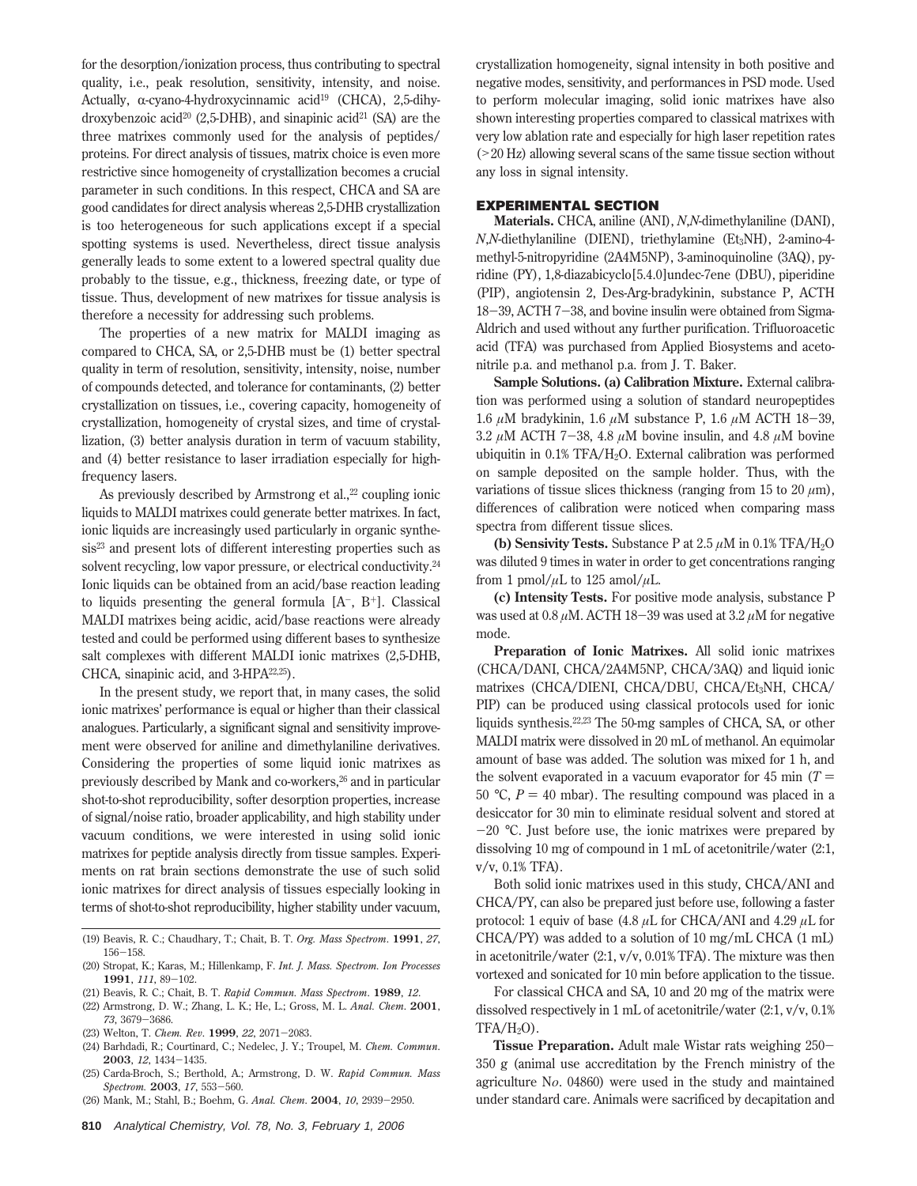for the desorption/ionization process, thus contributing to spectral quality, i.e., peak resolution, sensitivity, intensity, and noise. Actually,  $\alpha$ -cyano-4-hydroxycinnamic acid<sup>19</sup> (CHCA), 2,5-dihydroxybenzoic acid<sup>20</sup> (2,5-DHB), and sinapinic acid<sup>21</sup> (SA) are the three matrixes commonly used for the analysis of peptides/ proteins. For direct analysis of tissues, matrix choice is even more restrictive since homogeneity of crystallization becomes a crucial parameter in such conditions. In this respect, CHCA and SA are good candidates for direct analysis whereas 2,5-DHB crystallization is too heterogeneous for such applications except if a special spotting systems is used. Nevertheless, direct tissue analysis generally leads to some extent to a lowered spectral quality due probably to the tissue, e.g., thickness, freezing date, or type of tissue. Thus, development of new matrixes for tissue analysis is therefore a necessity for addressing such problems.

The properties of a new matrix for MALDI imaging as compared to CHCA, SA, or 2,5-DHB must be (1) better spectral quality in term of resolution, sensitivity, intensity, noise, number of compounds detected, and tolerance for contaminants, (2) better crystallization on tissues, i.e., covering capacity, homogeneity of crystallization, homogeneity of crystal sizes, and time of crystallization, (3) better analysis duration in term of vacuum stability, and (4) better resistance to laser irradiation especially for highfrequency lasers.

As previously described by Armstrong et al., $22$  coupling ionic liquids to MALDI matrixes could generate better matrixes. In fact, ionic liquids are increasingly used particularly in organic synthesis<sup>23</sup> and present lots of different interesting properties such as solvent recycling, low vapor pressure, or electrical conductivity.<sup>24</sup> Ionic liquids can be obtained from an acid/base reaction leading to liquids presenting the general formula  $[A^-, B^+]$ . Classical MALDI matrixes being acidic, acid/base reactions were already tested and could be performed using different bases to synthesize salt complexes with different MALDI ionic matrixes (2,5-DHB, CHCA, sinapinic acid, and 3-HPA<sup>22,25</sup>).

In the present study, we report that, in many cases, the solid ionic matrixes' performance is equal or higher than their classical analogues. Particularly, a significant signal and sensitivity improvement were observed for aniline and dimethylaniline derivatives. Considering the properties of some liquid ionic matrixes as previously described by Mank and co-workers,<sup>26</sup> and in particular shot-to-shot reproducibility, softer desorption properties, increase of signal/noise ratio, broader applicability, and high stability under vacuum conditions, we were interested in using solid ionic matrixes for peptide analysis directly from tissue samples. Experiments on rat brain sections demonstrate the use of such solid ionic matrixes for direct analysis of tissues especially looking in terms of shot-to-shot reproducibility, higher stability under vacuum,

- (19) Beavis, R. C.; Chaudhary, T.; Chait, B. T. *Org. Mass Spectrom*. **1991**, *27*, <sup>156</sup>-158.
- (20) Stropat, K.; Karas, M.; Hillenkamp, F. *Int. J. Mass. Spectrom. Ion Processes* **<sup>1991</sup>**, *<sup>111</sup>*, 89-102.
- (21) Beavis, R. C.; Chait, B. T. *Rapid Commun. Mass Spectrom*. **1989**, *12*.
- (22) Armstrong, D. W.; Zhang, L. K.; He, L.; Gross, M. L. *Anal. Chem*. **2001**, *<sup>73</sup>*, 3679-3686.
- (23) Welton, T. *Chem. Rev*. **<sup>1999</sup>**, *<sup>22</sup>*, 2071-2083.
- (24) Barhdadi, R.; Courtinard, C.; Nedelec, J. Y.; Troupel, M. *Chem. Commun*. **<sup>2003</sup>**, *<sup>12</sup>*, 1434-1435.
- (25) Carda-Broch, S.; Berthold, A.; Armstrong, D. W. *Rapid Commun. Mass Spectrom.* **<sup>2003</sup>**, *<sup>17</sup>*, 553-560.
- (26) Mank, M.; Stahl, B.; Boehm, G. *Anal. Chem*. **<sup>2004</sup>**, *<sup>10</sup>*, 2939-2950.

crystallization homogeneity, signal intensity in both positive and negative modes, sensitivity, and performances in PSD mode. Used to perform molecular imaging, solid ionic matrixes have also shown interesting properties compared to classical matrixes with very low ablation rate and especially for high laser repetition rates (>20 Hz) allowing several scans of the same tissue section without any loss in signal intensity.

# **EXPERIMENTAL SECTION**

**Materials.** CHCA, aniline (ANI), *N*,*N*-dimethylaniline (DANI), *N*,*N*-diethylaniline (DIENI), triethylamine (Et<sub>3</sub>NH), 2-amino-4methyl-5-nitropyridine (2A4M5NP), 3-aminoquinoline (3AQ), pyridine (PY), 1,8-diazabicyclo[5.4.0]undec-7ene (DBU), piperidine (PIP), angiotensin 2, Des-Arg-bradykinin, substance P, ACTH <sup>18</sup>-39, ACTH 7-38, and bovine insulin were obtained from Sigma-Aldrich and used without any further purification. Trifluoroacetic acid (TFA) was purchased from Applied Biosystems and acetonitrile p.a. and methanol p.a. from J. T. Baker.

**Sample Solutions. (a) Calibration Mixture.** External calibration was performed using a solution of standard neuropeptides 1.6 *<sup>µ</sup>*M bradykinin, 1.6 *<sup>µ</sup>*M substance P, 1.6 *<sup>µ</sup>*M ACTH 18-39, 3.2 *<sup>µ</sup>*M ACTH 7-38, 4.8 *<sup>µ</sup>*M bovine insulin, and 4.8 *<sup>µ</sup>*M bovine ubiquitin in 0.1% TFA/H2O. External calibration was performed on sample deposited on the sample holder. Thus, with the variations of tissue slices thickness (ranging from 15 to 20  $\mu$ m), differences of calibration were noticed when comparing mass spectra from different tissue slices.

**(b) Sensivity Tests.** Substance P at  $2.5 \mu M$  in  $0.1\%$  TFA/H<sub>2</sub>O was diluted 9 times in water in order to get concentrations ranging from 1 pmol/ $\mu$ L to 125 amol/ $\mu$ L.

**(c) Intensity Tests.** For positive mode analysis, substance P was used at 0.8  $\mu$ M. ACTH 18-39 was used at 3.2  $\mu$ M for negative mode.

**Preparation of Ionic Matrixes.** All solid ionic matrixes (CHCA/DANI, CHCA/2A4M5NP, CHCA/3AQ) and liquid ionic matrixes (CHCA/DIENI, CHCA/DBU, CHCA/Et<sub>3</sub>NH, CHCA/ PIP) can be produced using classical protocols used for ionic liquids synthesis.22,23 The 50-mg samples of CHCA, SA, or other MALDI matrix were dissolved in 20 mL of methanol. An equimolar amount of base was added. The solution was mixed for 1 h, and the solvent evaporated in a vacuum evaporator for 45 min  $(T =$ 50 °C,  $P = 40$  mbar). The resulting compound was placed in a desiccator for 30 min to eliminate residual solvent and stored at  $-20$  °C. Just before use, the ionic matrixes were prepared by dissolving 10 mg of compound in 1 mL of acetonitrile/water (2:1, v/v, 0.1% TFA).

Both solid ionic matrixes used in this study, CHCA/ANI and CHCA/PY, can also be prepared just before use, following a faster protocol: 1 equiv of base (4.8 *µ*L for CHCA/ANI and 4.29 *µ*L for CHCA/PY) was added to a solution of 10 mg/mL CHCA (1 mL) in acetonitrile/water (2:1, v/v, 0.01% TFA). The mixture was then vortexed and sonicated for 10 min before application to the tissue.

For classical CHCA and SA, 10 and 20 mg of the matrix were dissolved respectively in 1 mL of acetonitrile/water (2:1, v/v, 0.1%  $TFA/H<sub>2</sub>O$ ).

**Tissue Preparation.** Adult male Wistar rats weighing 250- 350 g (animal use accreditation by the French ministry of the agriculture N<sub>o</sub>. 04860) were used in the study and maintained under standard care. Animals were sacrificed by decapitation and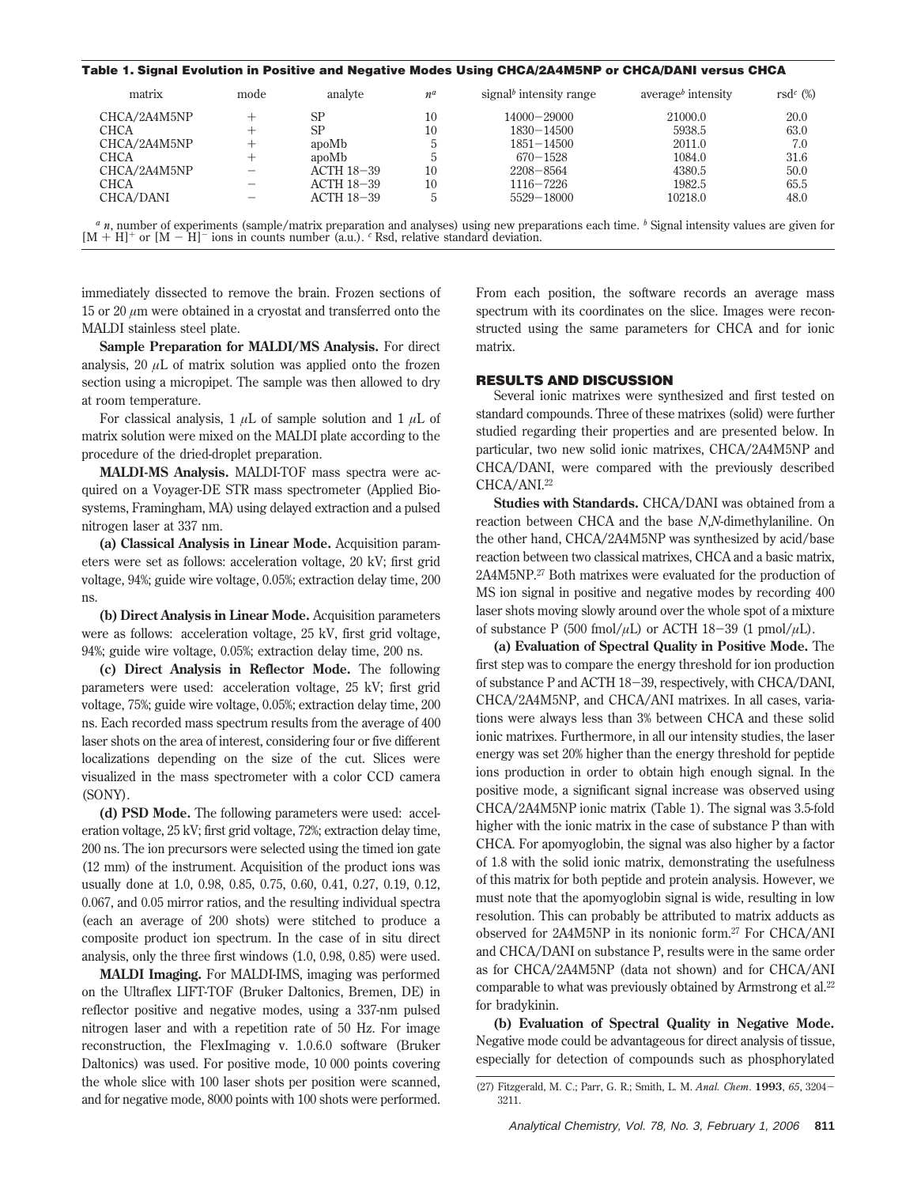## **Table 1. Signal Evolution in Positive and Negative Modes Using CHCA/2A4M5NP or CHCA/DANI versus CHCA**

| matrix       | mode         | analyte    | $n^a$ | signal <sup>b</sup> intensity range | average <sup><math>b</math></sup> intensity | rsd <sup>c</sup> $(\%)$ |
|--------------|--------------|------------|-------|-------------------------------------|---------------------------------------------|-------------------------|
| CHCA/2A4M5NP |              | <b>SP</b>  | 10    | $14000 - 29000$                     | 21000.0                                     | 20.0                    |
| <b>CHCA</b>  |              | <b>SP</b>  | 10    | $1830 - 14500$                      | 5938.5                                      | 63.0                    |
| CHCA/2A4M5NP |              | apoMb      |       | $1851 - 14500$                      | 2011.0                                      | 7.0                     |
| CHCA         | $\mathrm{+}$ | apoMb      |       | $670 - 1528$                        | 1084.0                                      | 31.6                    |
| CHCA/2A4M5NP |              | ACTH 18-39 | 10    | $2208 - 8564$                       | 4380.5                                      | 50.0                    |
| CHCA         |              | ACTH 18-39 | 10    | $1116 - 7226$                       | 1982.5                                      | 65.5                    |
| CHCA/DANI    |              | ACTH 18-39 |       | 5529-18000                          | 10218.0                                     | 48.0                    |
|              |              |            |       |                                     |                                             |                         |

*<sup>a</sup> n*, number of experiments (sample/matrix preparation and analyses) using new preparations each time. *<sup>b</sup>* Signal intensity values are given for  $[M + H]^+$  or  $[M - H]^-\$ ions in counts number (a.u.). <sup>c</sup> Rsd, relative standard deviation.

immediately dissected to remove the brain. Frozen sections of 15 or 20 *µ*m were obtained in a cryostat and transferred onto the MALDI stainless steel plate.

**Sample Preparation for MALDI/MS Analysis.** For direct analysis, 20  $\mu$ L of matrix solution was applied onto the frozen section using a micropipet. The sample was then allowed to dry at room temperature.

For classical analysis,  $1 \mu L$  of sample solution and  $1 \mu L$  of matrix solution were mixed on the MALDI plate according to the procedure of the dried-droplet preparation.

**MALDI-MS Analysis.** MALDI-TOF mass spectra were acquired on a Voyager-DE STR mass spectrometer (Applied Biosystems, Framingham, MA) using delayed extraction and a pulsed nitrogen laser at 337 nm.

**(a) Classical Analysis in Linear Mode.** Acquisition parameters were set as follows: acceleration voltage, 20 kV; first grid voltage, 94%; guide wire voltage, 0.05%; extraction delay time, 200 ns.

**(b) Direct Analysis in Linear Mode.** Acquisition parameters were as follows: acceleration voltage, 25 kV, first grid voltage, 94%; guide wire voltage, 0.05%; extraction delay time, 200 ns.

**(c) Direct Analysis in Reflector Mode.** The following parameters were used: acceleration voltage, 25 kV; first grid voltage, 75%; guide wire voltage, 0.05%; extraction delay time, 200 ns. Each recorded mass spectrum results from the average of 400 laser shots on the area of interest, considering four or five different localizations depending on the size of the cut. Slices were visualized in the mass spectrometer with a color CCD camera (SONY).

**(d) PSD Mode.** The following parameters were used: acceleration voltage, 25 kV; first grid voltage, 72%; extraction delay time, 200 ns. The ion precursors were selected using the timed ion gate (12 mm) of the instrument. Acquisition of the product ions was usually done at 1.0, 0.98, 0.85, 0.75, 0.60, 0.41, 0.27, 0.19, 0.12, 0.067, and 0.05 mirror ratios, and the resulting individual spectra (each an average of 200 shots) were stitched to produce a composite product ion spectrum. In the case of in situ direct analysis, only the three first windows (1.0, 0.98, 0.85) were used.

**MALDI Imaging.** For MALDI-IMS, imaging was performed on the Ultraflex LIFT-TOF (Bruker Daltonics, Bremen, DE) in reflector positive and negative modes, using a 337-nm pulsed nitrogen laser and with a repetition rate of 50 Hz. For image reconstruction, the FlexImaging v. 1.0.6.0 software (Bruker Daltonics) was used. For positive mode, 10 000 points covering the whole slice with 100 laser shots per position were scanned, and for negative mode, 8000 points with 100 shots were performed. From each position, the software records an average mass spectrum with its coordinates on the slice. Images were reconstructed using the same parameters for CHCA and for ionic matrix.

## **RESULTS AND DISCUSSION**

Several ionic matrixes were synthesized and first tested on standard compounds. Three of these matrixes (solid) were further studied regarding their properties and are presented below. In particular, two new solid ionic matrixes, CHCA/2A4M5NP and CHCA/DANI, were compared with the previously described CHCA/ANI.<sup>22</sup>

**Studies with Standards.** CHCA/DANI was obtained from a reaction between CHCA and the base *N*,*N*-dimethylaniline. On the other hand, CHCA/2A4M5NP was synthesized by acid/base reaction between two classical matrixes, CHCA and a basic matrix, 2A4M5NP.27 Both matrixes were evaluated for the production of MS ion signal in positive and negative modes by recording 400 laser shots moving slowly around over the whole spot of a mixture of substance P (500 fmol/ $\mu$ L) or ACTH 18-39 (1 pmol/ $\mu$ L).

**(a) Evaluation of Spectral Quality in Positive Mode.** The first step was to compare the energy threshold for ion production of substance P and ACTH 18-39, respectively, with CHCA/DANI, CHCA/2A4M5NP, and CHCA/ANI matrixes. In all cases, variations were always less than 3% between CHCA and these solid ionic matrixes. Furthermore, in all our intensity studies, the laser energy was set 20% higher than the energy threshold for peptide ions production in order to obtain high enough signal. In the positive mode, a significant signal increase was observed using CHCA/2A4M5NP ionic matrix (Table 1). The signal was 3.5-fold higher with the ionic matrix in the case of substance P than with CHCA. For apomyoglobin, the signal was also higher by a factor of 1.8 with the solid ionic matrix, demonstrating the usefulness of this matrix for both peptide and protein analysis. However, we must note that the apomyoglobin signal is wide, resulting in low resolution. This can probably be attributed to matrix adducts as observed for 2A4M5NP in its nonionic form.27 For CHCA/ANI and CHCA/DANI on substance P, results were in the same order as for CHCA/2A4M5NP (data not shown) and for CHCA/ANI comparable to what was previously obtained by Armstrong et al.<sup>22</sup> for bradykinin.

**(b) Evaluation of Spectral Quality in Negative Mode.** Negative mode could be advantageous for direct analysis of tissue, especially for detection of compounds such as phosphorylated

<sup>(27)</sup> Fitzgerald, M. C.; Parr, G. R.; Smith, L. M. *Anal. Chem*. **<sup>1993</sup>**, *<sup>65</sup>*, 3204- 3211.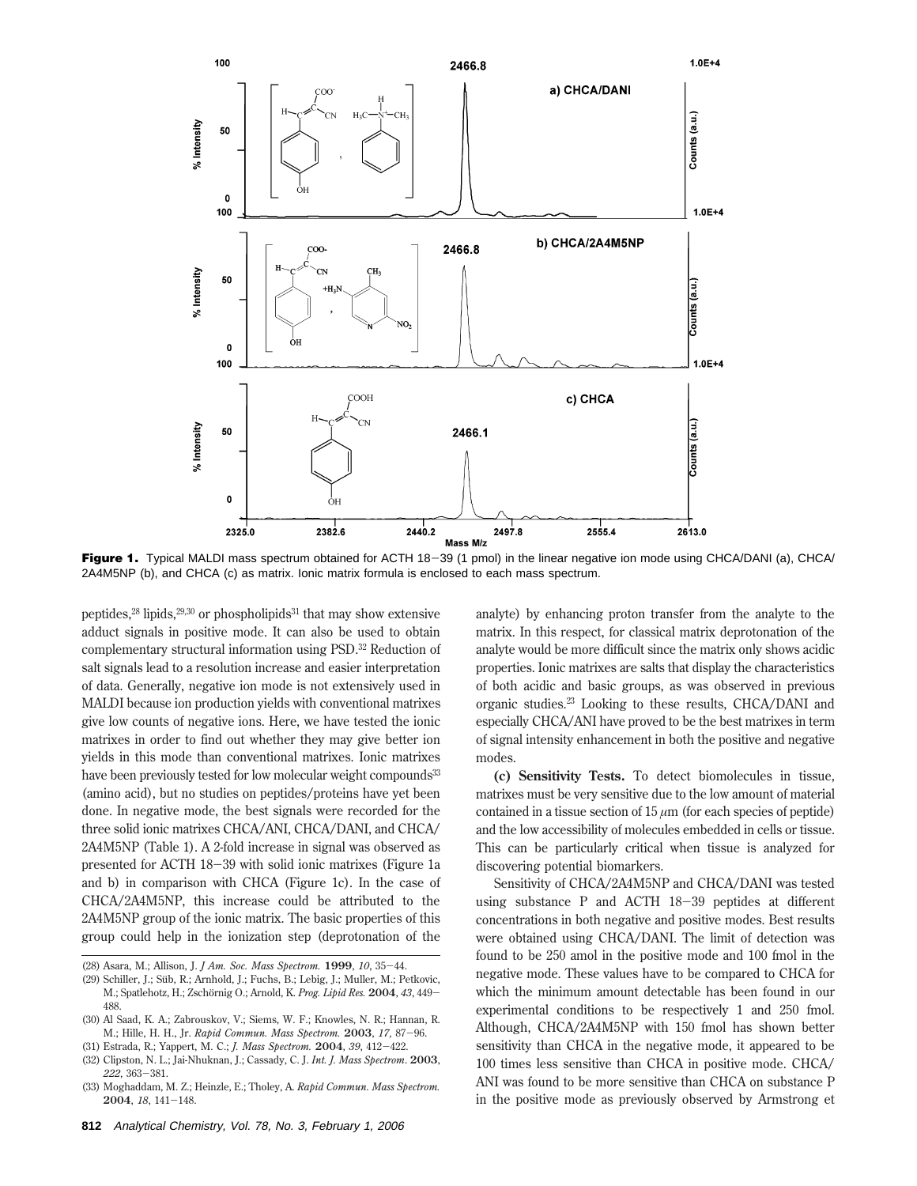

Figure 1. Typical MALDI mass spectrum obtained for ACTH 18-39 (1 pmol) in the linear negative ion mode using CHCA/DANI (a), CHCA/ 2A4M5NP (b), and CHCA (c) as matrix. Ionic matrix formula is enclosed to each mass spectrum.

peptides, $^{28}$  lipids, $^{29,30}$  or phospholipids<sup>31</sup> that may show extensive adduct signals in positive mode. It can also be used to obtain complementary structural information using PSD.32 Reduction of salt signals lead to a resolution increase and easier interpretation of data. Generally, negative ion mode is not extensively used in MALDI because ion production yields with conventional matrixes give low counts of negative ions. Here, we have tested the ionic matrixes in order to find out whether they may give better ion yields in this mode than conventional matrixes. Ionic matrixes have been previously tested for low molecular weight compounds<sup>33</sup> (amino acid), but no studies on peptides/proteins have yet been done. In negative mode, the best signals were recorded for the three solid ionic matrixes CHCA/ANI, CHCA/DANI, and CHCA/ 2A4M5NP (Table 1). A 2-fold increase in signal was observed as presented for ACTH 18-39 with solid ionic matrixes (Figure 1a and b) in comparison with CHCA (Figure 1c). In the case of CHCA/2A4M5NP, this increase could be attributed to the 2A4M5NP group of the ionic matrix. The basic properties of this group could help in the ionization step (deprotonation of the

analyte) by enhancing proton transfer from the analyte to the matrix. In this respect, for classical matrix deprotonation of the analyte would be more difficult since the matrix only shows acidic properties. Ionic matrixes are salts that display the characteristics of both acidic and basic groups, as was observed in previous organic studies.23 Looking to these results, CHCA/DANI and especially CHCA/ANI have proved to be the best matrixes in term of signal intensity enhancement in both the positive and negative modes.

**(c) Sensitivity Tests.** To detect biomolecules in tissue, matrixes must be very sensitive due to the low amount of material contained in a tissue section of  $15 \mu m$  (for each species of peptide) and the low accessibility of molecules embedded in cells or tissue. This can be particularly critical when tissue is analyzed for discovering potential biomarkers.

Sensitivity of CHCA/2A4M5NP and CHCA/DANI was tested using substance P and ACTH 18-39 peptides at different concentrations in both negative and positive modes. Best results were obtained using CHCA/DANI. The limit of detection was found to be 250 amol in the positive mode and 100 fmol in the negative mode. These values have to be compared to CHCA for which the minimum amount detectable has been found in our experimental conditions to be respectively 1 and 250 fmol. Although, CHCA/2A4M5NP with 150 fmol has shown better sensitivity than CHCA in the negative mode, it appeared to be 100 times less sensitive than CHCA in positive mode. CHCA/ ANI was found to be more sensitive than CHCA on substance P in the positive mode as previously observed by Armstrong et

<sup>(28)</sup> Asara, M.; Allison, J. *J Am. Soc. Mass Spectrom.* **<sup>1999</sup>**, *<sup>10</sup>*, 35-44.

<sup>(29)</sup> Schiller, J.; Süb, R.; Arnhold, J.; Fuchs, B.; Lebig, J.; Muller, M.; Petkovic, M.; Spatlehotz, H.; Zschörnig O.; Arnold, K. Prog. Lipid Res. 2004, 43, 449-488.

<sup>(30)</sup> Al Saad, K. A.; Zabrouskov, V.; Siems, W. F.; Knowles, N. R.; Hannan, R. M.; Hille, H. H., Jr. *Rapid Commun. Mass Spectrom.* **<sup>2003</sup>**, *17,* <sup>87</sup>-96.

<sup>(31)</sup> Estrada, R.; Yappert, M. C.; *J. Mass Spectrom.* **<sup>2004</sup>**, *<sup>39</sup>*, 412-422. (32) Clipston, N. L.; Jai-Nhuknan, J.; Cassady, C. J. *Int. J. Mass Spectrom*. **2003**,

*<sup>222</sup>*, 363-381.

<sup>(33)</sup> Moghaddam, M. Z.; Heinzle, E.; Tholey, A. *Rapid Commun. Mass Spectrom.* **<sup>2004</sup>**, *<sup>18</sup>*, 141-148.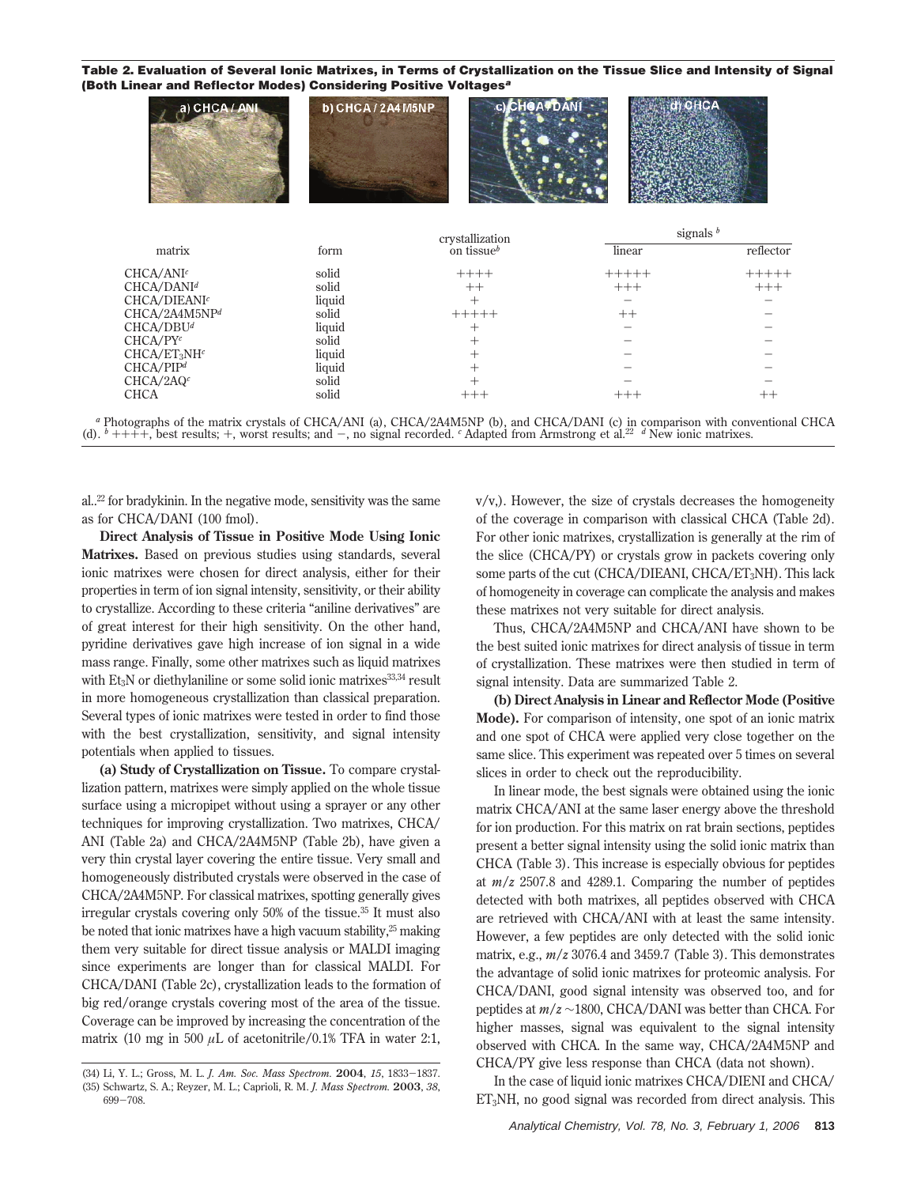**Table 2. Evaluation of Several Ionic Matrixes, in Terms of Crystallization on the Tissue Slice and Intensity of Signal (Both Linear and Reflector Modes) Considering Positive Voltages<sup>a</sup>**

| a) CHCA / ANI            | b) CHCA / 2A4 M5NP | c) CHOAPDAM     |             | CHCA      |  |
|--------------------------|--------------------|-----------------|-------------|-----------|--|
|                          |                    | crystallization | signals $b$ |           |  |
| matrix                   | form               | on tissue $^b$  | linear      | reflector |  |
| CHCA/ANI <sup>c</sup>    | solid              | $+++++$         | $+++++$     | $+++++$   |  |
| CHCA/DANI <sup>d</sup>   | solid              | $++$            | $+++$       | $+++$     |  |
| CHCA/DIEANI <sup>c</sup> | liquid             | $^{+}$          |             |           |  |
| CHCA/2A4M5NPd            | solid              | $+++++$         | $++$        |           |  |
| CHCA/DBU <sup>d</sup>    | liquid             | $^+$            |             |           |  |
| CHCA/PY <sup>c</sup>     | solid              | $^{+}$          |             |           |  |
| $CHCA/ET_3NHc$           | liquid             | $^{+}$          |             |           |  |
| CHCA/PIP <sup>d</sup>    | liquid             | $^{+}$          |             |           |  |
| CHCA/2AQ <sup>c</sup>    | solid              |                 |             |           |  |
| CHCA                     | solid              | $+++$           | $+++$       | $++$      |  |
|                          |                    |                 |             |           |  |

<sup>*a*</sup> Photographs of the matrix crystals of CHCA/ANI (a), CHCA/2A4M5NP (b), and CHCA/DANI (c) in comparison with conventional CHCA (d).  $b$  ++++, best results; +, worst results; and -, no signal recorded. <sup>*c*</sup> Adapted fr

al..22 for bradykinin. In the negative mode, sensitivity was the same as for CHCA/DANI (100 fmol).

**Direct Analysis of Tissue in Positive Mode Using Ionic Matrixes.** Based on previous studies using standards, several ionic matrixes were chosen for direct analysis, either for their properties in term of ion signal intensity, sensitivity, or their ability to crystallize. According to these criteria "aniline derivatives" are of great interest for their high sensitivity. On the other hand, pyridine derivatives gave high increase of ion signal in a wide mass range. Finally, some other matrixes such as liquid matrixes with Et<sub>3</sub>N or diethylaniline or some solid ionic matrixes<sup>33,34</sup> result in more homogeneous crystallization than classical preparation. Several types of ionic matrixes were tested in order to find those with the best crystallization, sensitivity, and signal intensity potentials when applied to tissues.

**(a) Study of Crystallization on Tissue.** To compare crystallization pattern, matrixes were simply applied on the whole tissue surface using a micropipet without using a sprayer or any other techniques for improving crystallization. Two matrixes, CHCA/ ANI (Table 2a) and CHCA/2A4M5NP (Table 2b), have given a very thin crystal layer covering the entire tissue. Very small and homogeneously distributed crystals were observed in the case of CHCA/2A4M5NP. For classical matrixes, spotting generally gives irregular crystals covering only 50% of the tissue.35 It must also be noted that ionic matrixes have a high vacuum stability, $25$  making them very suitable for direct tissue analysis or MALDI imaging since experiments are longer than for classical MALDI. For CHCA/DANI (Table 2c), crystallization leads to the formation of big red/orange crystals covering most of the area of the tissue. Coverage can be improved by increasing the concentration of the matrix (10 mg in 500  $\mu$ L of acetonitrile/0.1% TFA in water 2:1,

(34) Li, Y. L.; Gross, M. L. *J. Am. Soc. Mass Spectrom.* **<sup>2004</sup>**, *<sup>15</sup>*, 1833-1837. (35) Schwartz, S. A.; Reyzer, M. L.; Caprioli, R. M. *J. Mass Spectrom.* **2003**, *38*, <sup>699</sup>-708.

v/v,). However, the size of crystals decreases the homogeneity of the coverage in comparison with classical CHCA (Table 2d). For other ionic matrixes, crystallization is generally at the rim of the slice (CHCA/PY) or crystals grow in packets covering only some parts of the cut (CHCA/DIEANI, CHCA/ET3NH). This lack of homogeneity in coverage can complicate the analysis and makes these matrixes not very suitable for direct analysis.

Thus, CHCA/2A4M5NP and CHCA/ANI have shown to be the best suited ionic matrixes for direct analysis of tissue in term of crystallization. These matrixes were then studied in term of signal intensity. Data are summarized Table 2.

**(b) Direct Analysis in Linear and Reflector Mode (Positive Mode).** For comparison of intensity, one spot of an ionic matrix and one spot of CHCA were applied very close together on the same slice. This experiment was repeated over 5 times on several slices in order to check out the reproducibility.

In linear mode, the best signals were obtained using the ionic matrix CHCA/ANI at the same laser energy above the threshold for ion production. For this matrix on rat brain sections, peptides present a better signal intensity using the solid ionic matrix than CHCA (Table 3). This increase is especially obvious for peptides at *m*/*z* 2507.8 and 4289.1. Comparing the number of peptides detected with both matrixes, all peptides observed with CHCA are retrieved with CHCA/ANI with at least the same intensity. However, a few peptides are only detected with the solid ionic matrix, e.g., *m*/*z* 3076.4 and 3459.7 (Table 3). This demonstrates the advantage of solid ionic matrixes for proteomic analysis. For CHCA/DANI, good signal intensity was observed too, and for peptides at *m*/*z* ∼1800, CHCA/DANI was better than CHCA. For higher masses, signal was equivalent to the signal intensity observed with CHCA. In the same way, CHCA/2A4M5NP and CHCA/PY give less response than CHCA (data not shown).

In the case of liquid ionic matrixes CHCA/DIENI and CHCA/ ET3NH, no good signal was recorded from direct analysis. This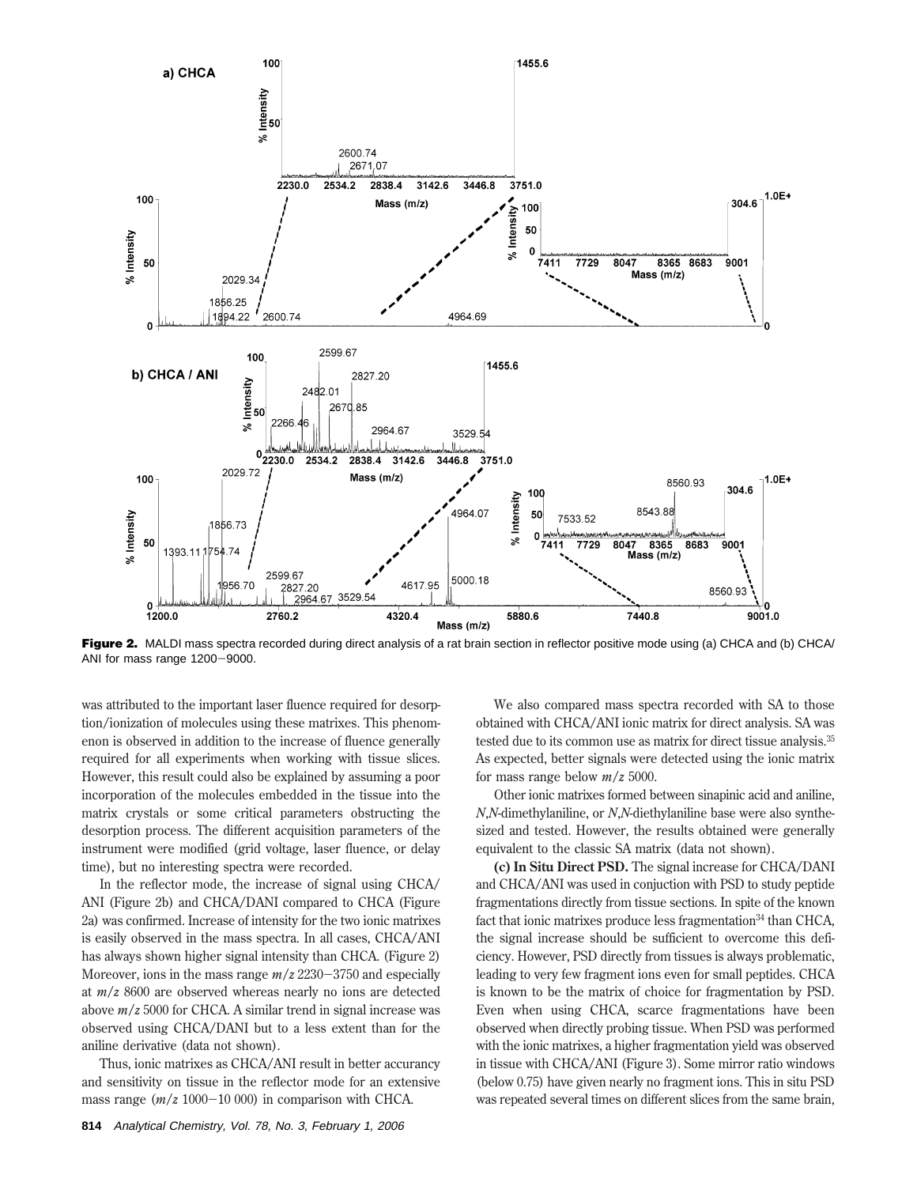

Figure 2. MALDI mass spectra recorded during direct analysis of a rat brain section in reflector positive mode using (a) CHCA and (b) CHCA/ ANI for mass range 1200-9000.

was attributed to the important laser fluence required for desorption/ionization of molecules using these matrixes. This phenomenon is observed in addition to the increase of fluence generally required for all experiments when working with tissue slices. However, this result could also be explained by assuming a poor incorporation of the molecules embedded in the tissue into the matrix crystals or some critical parameters obstructing the desorption process. The different acquisition parameters of the instrument were modified (grid voltage, laser fluence, or delay time), but no interesting spectra were recorded.

In the reflector mode, the increase of signal using CHCA/ ANI (Figure 2b) and CHCA/DANI compared to CHCA (Figure 2a) was confirmed. Increase of intensity for the two ionic matrixes is easily observed in the mass spectra. In all cases, CHCA/ANI has always shown higher signal intensity than CHCA. (Figure 2) Moreover, ions in the mass range *<sup>m</sup>*/*<sup>z</sup>* <sup>2230</sup>-3750 and especially at *m*/*z* 8600 are observed whereas nearly no ions are detected above *m*/*z* 5000 for CHCA. A similar trend in signal increase was observed using CHCA/DANI but to a less extent than for the aniline derivative (data not shown).

Thus, ionic matrixes as CHCA/ANI result in better accurancy and sensitivity on tissue in the reflector mode for an extensive mass range  $(m/z 1000-10 000)$  in comparison with CHCA.

We also compared mass spectra recorded with SA to those obtained with CHCA/ANI ionic matrix for direct analysis. SA was tested due to its common use as matrix for direct tissue analysis.35 As expected, better signals were detected using the ionic matrix for mass range below *m*/*z* 5000.

Other ionic matrixes formed between sinapinic acid and aniline, *N*,*N*-dimethylaniline, or *N*,*N*-diethylaniline base were also synthesized and tested. However, the results obtained were generally equivalent to the classic SA matrix (data not shown).

**(c) In Situ Direct PSD.** The signal increase for CHCA/DANI and CHCA/ANI was used in conjuction with PSD to study peptide fragmentations directly from tissue sections. In spite of the known fact that ionic matrixes produce less fragmentation<sup>34</sup> than CHCA, the signal increase should be sufficient to overcome this deficiency. However, PSD directly from tissues is always problematic, leading to very few fragment ions even for small peptides. CHCA is known to be the matrix of choice for fragmentation by PSD. Even when using CHCA, scarce fragmentations have been observed when directly probing tissue. When PSD was performed with the ionic matrixes, a higher fragmentation yield was observed in tissue with CHCA/ANI (Figure 3). Some mirror ratio windows (below 0.75) have given nearly no fragment ions. This in situ PSD was repeated several times on different slices from the same brain,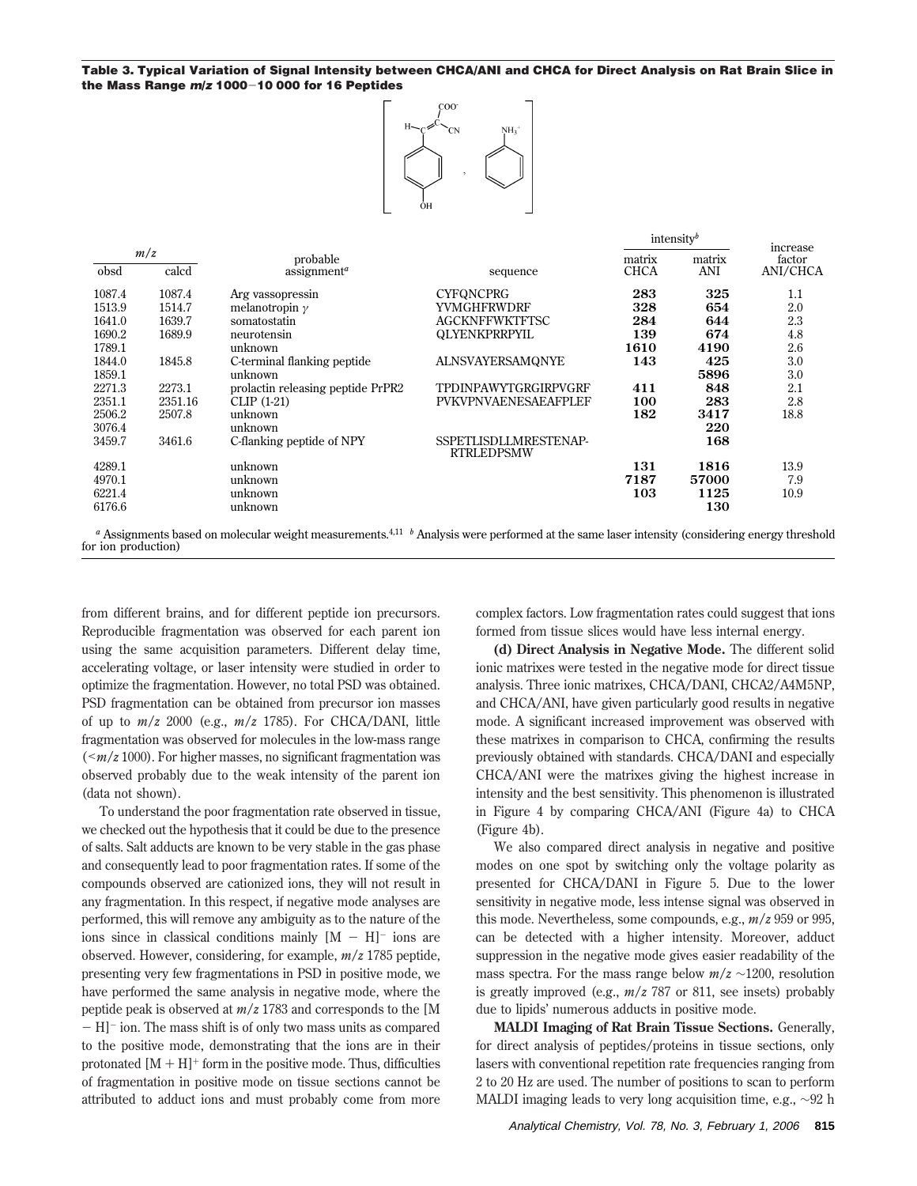**Table 3. Typical Variation of Signal Intensity between CHCA/ANI and CHCA for Direct Analysis on Rat Brain Slice in the Mass Range <sup>m</sup>/<sup>z</sup> <sup>1000</sup>**-**10 000 for 16 Peptides**



| m/z<br>obsd<br>calcd |                                                  |                                     |                                            |                       |                 | increase           |
|----------------------|--------------------------------------------------|-------------------------------------|--------------------------------------------|-----------------------|-----------------|--------------------|
|                      |                                                  | probable<br>assignment <sup>a</sup> |                                            | matrix<br><b>CHCA</b> | matrix<br>ANI   | factor<br>ANI/CHCA |
|                      |                                                  |                                     | sequence                                   |                       |                 |                    |
| 1087.4               | 1087.4                                           | Arg vassopressin                    | <b>CYFQNCPRG</b>                           | 283                   | 325             | 1.1                |
| 1513.9               | 1514.7                                           | melanotropin $\gamma$               | YVMGHFRWDRF                                | 328                   | 654             | 2.0                |
| 1641.0               | 1639.7                                           | somatostatin                        | <b>AGCKNFFWKTFTSC</b>                      | 284                   | 644             | 2.3                |
| 1690.2               | 1689.9                                           | neurotensin                         | QLYENKPRRPYIL                              | 139                   | 674             | 4.8                |
| 1789.1               |                                                  | unknown                             |                                            | 1610                  | 4190            | 2.6                |
| 1844.0               | 1845.8                                           | C-terminal flanking peptide         | <b>ALNSVAYERSAMQNYE</b>                    | 143                   | 425             | 3.0                |
| 1859.1               |                                                  | unknown                             |                                            |                       | 5896            | 3.0                |
| 2271.3               | 2273.1                                           | prolactin releasing peptide PrPR2   | TPDINPAWYTGRGIRPVGRF                       | 411                   | 848             | 2.1                |
| 2351.1               | 2351.16                                          | CLIP $(1-21)$                       | PVKVPNVAENESAEAFPLEF                       | 100                   | 283             | 2.8                |
| 2506.2               | 2507.8                                           | unknown                             |                                            | 182                   | 3417            | 18.8               |
| 3076.4               |                                                  | unknown                             |                                            |                       | 220             |                    |
| 3459.7               | 3461.6                                           | C-flanking peptide of NPY           | SSPETLISDLLMRESTENAP-<br><b>RTRLEDPSMW</b> |                       | 168             |                    |
| 4289.1               |                                                  | unknown                             |                                            | 131                   | 1816            | 13.9               |
| 4970.1               |                                                  | unknown                             |                                            | 7187                  | 57000           | 7.9                |
| 6221.4               |                                                  | unknown                             |                                            | 103                   | 1125            | 10.9               |
| 6176.6               |                                                  | unknown                             |                                            |                       | 130             |                    |
| $\cdots$             | $\sim$ $\sim$ $\sim$ $\sim$ $\sim$ $\sim$ $\sim$ | .                                   | $\sim$<br>$\blacksquare$                   |                       | $\cdot$ $\cdot$ |                    |

*<sup>a</sup>* Assignments based on molecular weight measurements.4,11 *<sup>b</sup>* Analysis were performed at the same laser intensity (considering energy threshold for ion production)

from different brains, and for different peptide ion precursors. Reproducible fragmentation was observed for each parent ion using the same acquisition parameters. Different delay time, accelerating voltage, or laser intensity were studied in order to optimize the fragmentation. However, no total PSD was obtained. PSD fragmentation can be obtained from precursor ion masses of up to *m*/*z* 2000 (e.g., *m*/*z* 1785). For CHCA/DANI, little fragmentation was observed for molecules in the low-mass range (<*m*/*<sup>z</sup>* 1000). For higher masses, no significant fragmentation was observed probably due to the weak intensity of the parent ion (data not shown).

To understand the poor fragmentation rate observed in tissue, we checked out the hypothesis that it could be due to the presence of salts. Salt adducts are known to be very stable in the gas phase and consequently lead to poor fragmentation rates. If some of the compounds observed are cationized ions, they will not result in any fragmentation. In this respect, if negative mode analyses are performed, this will remove any ambiguity as to the nature of the ions since in classical conditions mainly  $[M - H]$ <sup>-</sup> ions are observed. However, considering, for example, *m*/*z* 1785 peptide, presenting very few fragmentations in PSD in positive mode, we have performed the same analysis in negative mode, where the peptide peak is observed at *m*/*z* 1783 and corresponds to the [M  $- H$ ]<sup>-</sup> ion. The mass shift is of only two mass units as compared to the positive mode, demonstrating that the ions are in their protonated  $[M + H]^+$  form in the positive mode. Thus, difficulties of fragmentation in positive mode on tissue sections cannot be attributed to adduct ions and must probably come from more complex factors. Low fragmentation rates could suggest that ions formed from tissue slices would have less internal energy.

intensity*<sup>b</sup>*

**(d) Direct Analysis in Negative Mode.** The different solid ionic matrixes were tested in the negative mode for direct tissue analysis. Three ionic matrixes, CHCA/DANI, CHCA2/A4M5NP, and CHCA/ANI, have given particularly good results in negative mode. A significant increased improvement was observed with these matrixes in comparison to CHCA, confirming the results previously obtained with standards. CHCA/DANI and especially CHCA/ANI were the matrixes giving the highest increase in intensity and the best sensitivity. This phenomenon is illustrated in Figure 4 by comparing CHCA/ANI (Figure 4a) to CHCA (Figure 4b).

We also compared direct analysis in negative and positive modes on one spot by switching only the voltage polarity as presented for CHCA/DANI in Figure 5. Due to the lower sensitivity in negative mode, less intense signal was observed in this mode. Nevertheless, some compounds, e.g., *m*/*z* 959 or 995, can be detected with a higher intensity. Moreover, adduct suppression in the negative mode gives easier readability of the mass spectra. For the mass range below *m*/*z* ∼1200, resolution is greatly improved (e.g., *m*/*z* 787 or 811, see insets) probably due to lipids' numerous adducts in positive mode.

**MALDI Imaging of Rat Brain Tissue Sections.** Generally, for direct analysis of peptides/proteins in tissue sections, only lasers with conventional repetition rate frequencies ranging from 2 to 20 Hz are used. The number of positions to scan to perform MALDI imaging leads to very long acquisition time, e.g., ∼92 h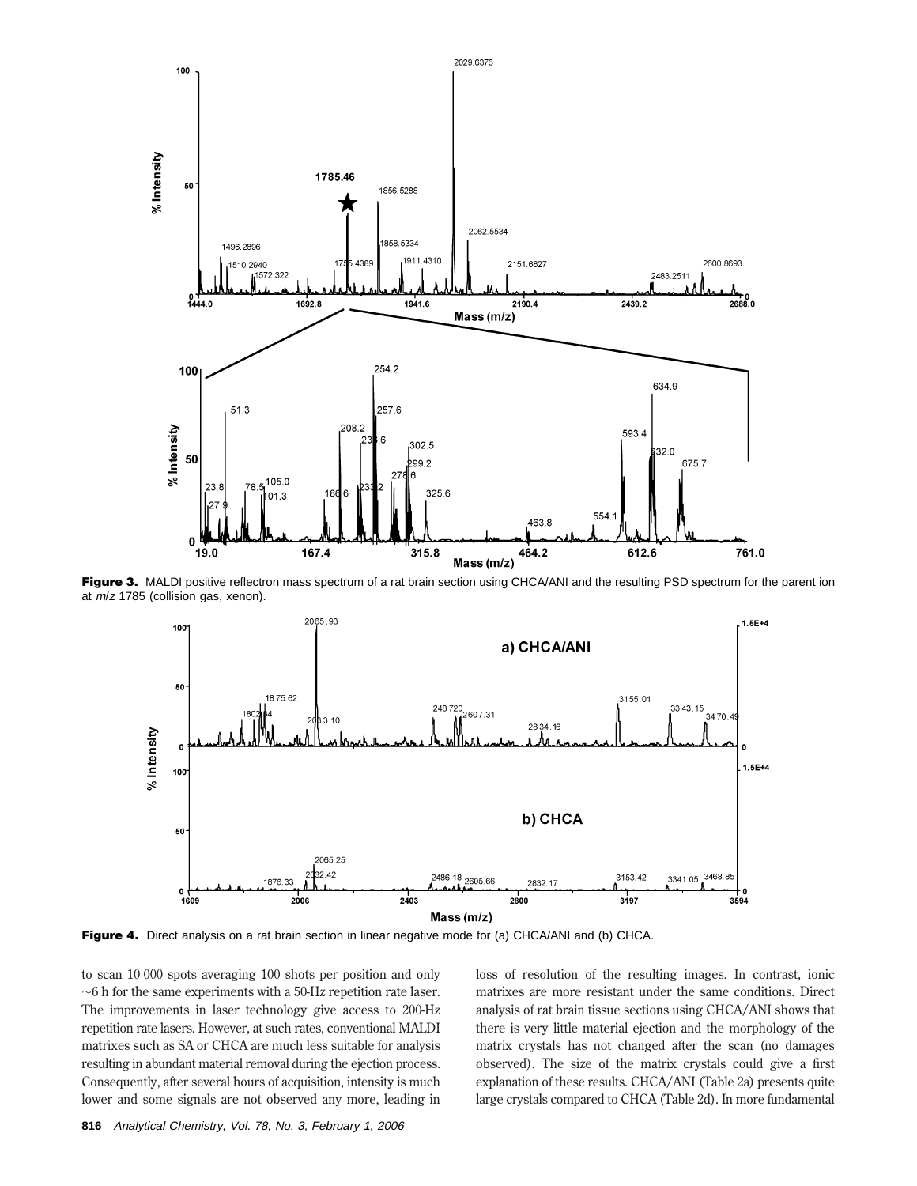

Figure 3. MALDI positive reflectron mass spectrum of a rat brain section using CHCA/ANI and the resulting PSD spectrum for the parent ion at <sup>m</sup>/<sup>z</sup> 1785 (collision gas, xenon).



**Figure 4.** Direct analysis on a rat brain section in linear negative mode for (a) CHCA/ANI and (b) CHCA.

to scan 10 000 spots averaging 100 shots per position and only ∼6 h for the same experiments with a 50-Hz repetition rate laser. The improvements in laser technology give access to 200-Hz repetition rate lasers. However, at such rates, conventional MALDI matrixes such as SA or CHCA are much less suitable for analysis resulting in abundant material removal during the ejection process. Consequently, after several hours of acquisition, intensity is much lower and some signals are not observed any more, leading in loss of resolution of the resulting images. In contrast, ionic matrixes are more resistant under the same conditions. Direct analysis of rat brain tissue sections using CHCA/ANI shows that there is very little material ejection and the morphology of the matrix crystals has not changed after the scan (no damages observed). The size of the matrix crystals could give a first explanation of these results. CHCA/ANI (Table 2a) presents quite large crystals compared to CHCA (Table 2d). In more fundamental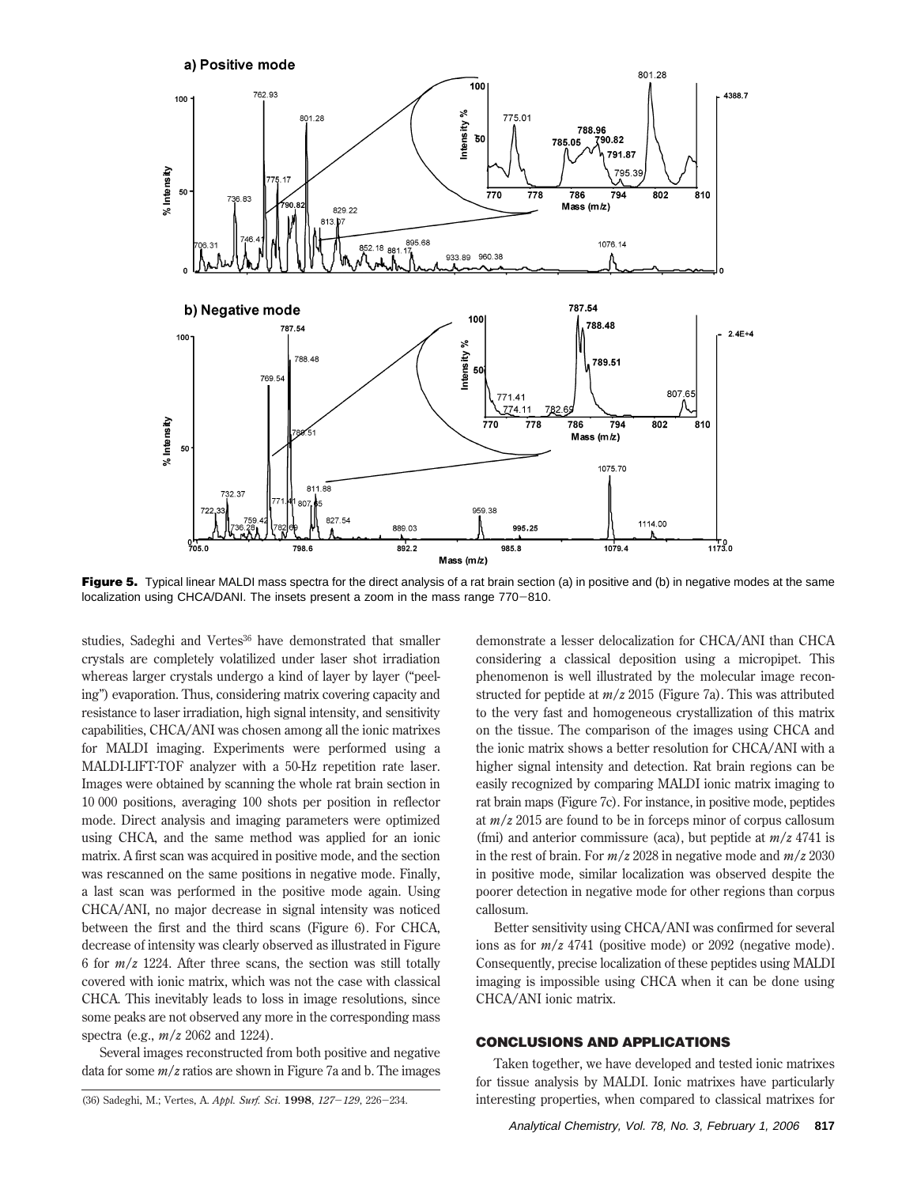

**Figure 5.** Typical linear MALDI mass spectra for the direct analysis of a rat brain section (a) in positive and (b) in negative modes at the same localization using CHCA/DANI. The insets present a zoom in the mass range 770-810.

studies, Sadeghi and Vertes<sup>36</sup> have demonstrated that smaller crystals are completely volatilized under laser shot irradiation whereas larger crystals undergo a kind of layer by layer ("peeling") evaporation. Thus, considering matrix covering capacity and resistance to laser irradiation, high signal intensity, and sensitivity capabilities, CHCA/ANI was chosen among all the ionic matrixes for MALDI imaging. Experiments were performed using a MALDI-LIFT-TOF analyzer with a 50-Hz repetition rate laser. Images were obtained by scanning the whole rat brain section in 10 000 positions, averaging 100 shots per position in reflector mode. Direct analysis and imaging parameters were optimized using CHCA, and the same method was applied for an ionic matrix. A first scan was acquired in positive mode, and the section was rescanned on the same positions in negative mode. Finally, a last scan was performed in the positive mode again. Using CHCA/ANI, no major decrease in signal intensity was noticed between the first and the third scans (Figure 6). For CHCA, decrease of intensity was clearly observed as illustrated in Figure 6 for *m*/*z* 1224. After three scans, the section was still totally covered with ionic matrix, which was not the case with classical CHCA. This inevitably leads to loss in image resolutions, since some peaks are not observed any more in the corresponding mass spectra (e.g., *m*/*z* 2062 and 1224).

Several images reconstructed from both positive and negative data for some *m*/*z* ratios are shown in Figure 7a and b. The images demonstrate a lesser delocalization for CHCA/ANI than CHCA considering a classical deposition using a micropipet. This phenomenon is well illustrated by the molecular image reconstructed for peptide at *m*/*z* 2015 (Figure 7a). This was attributed to the very fast and homogeneous crystallization of this matrix on the tissue. The comparison of the images using CHCA and the ionic matrix shows a better resolution for CHCA/ANI with a higher signal intensity and detection. Rat brain regions can be easily recognized by comparing MALDI ionic matrix imaging to rat brain maps (Figure 7c). For instance, in positive mode, peptides at *m*/*z* 2015 are found to be in forceps minor of corpus callosum (fmi) and anterior commissure (aca), but peptide at *m*/*z* 4741 is in the rest of brain. For *m*/*z* 2028 in negative mode and *m*/*z* 2030 in positive mode, similar localization was observed despite the poorer detection in negative mode for other regions than corpus callosum.

Better sensitivity using CHCA/ANI was confirmed for several ions as for *m*/*z* 4741 (positive mode) or 2092 (negative mode). Consequently, precise localization of these peptides using MALDI imaging is impossible using CHCA when it can be done using CHCA/ANI ionic matrix.

#### **CONCLUSIONS AND APPLICATIONS**

Taken together, we have developed and tested ionic matrixes for tissue analysis by MALDI. Ionic matrixes have particularly (36) Sadeghi, M.; Vertes, A. *Appl. Surf. Sci*. **<sup>1998</sup>**, *<sup>127</sup>*-*129*, 226-234. interesting properties, when compared to classical matrixes for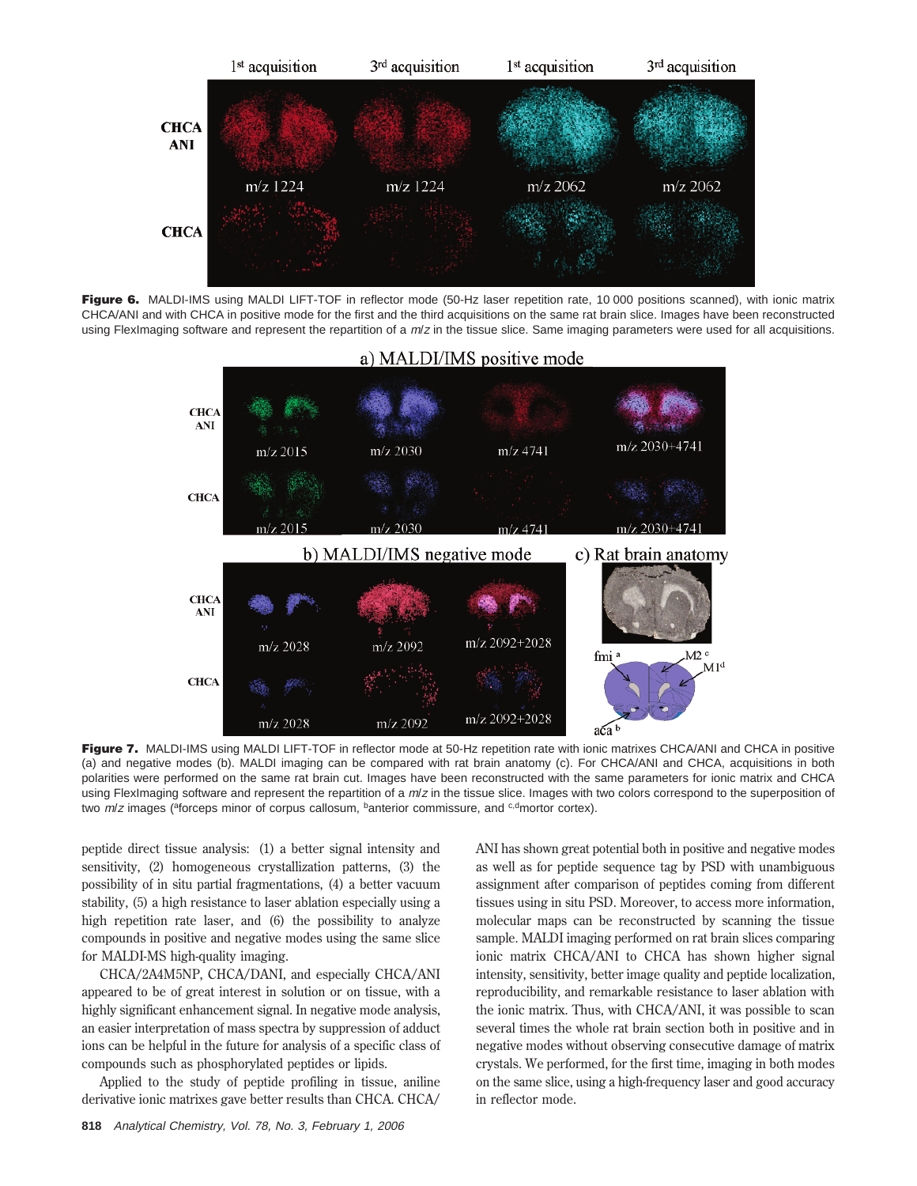

Figure 6. MALDI-IMS using MALDI LIFT-TOF in reflector mode (50-Hz laser repetition rate, 10 000 positions scanned), with ionic matrix CHCA/ANI and with CHCA in positive mode for the first and the third acquisitions on the same rat brain slice. Images have been reconstructed using FlexImaging software and represent the repartition of a  $m/z$  in the tissue slice. Same imaging parameters were used for all acquisitions.



Figure 7. MALDI-IMS using MALDI LIFT-TOF in reflector mode at 50-Hz repetition rate with ionic matrixes CHCA/ANI and CHCA in positive (a) and negative modes (b). MALDI imaging can be compared with rat brain anatomy (c). For CHCA/ANI and CHCA, acquisitions in both polarities were performed on the same rat brain cut. Images have been reconstructed with the same parameters for ionic matrix and CHCA using FlexImaging software and represent the repartition of a  $m/z$  in the tissue slice. Images with two colors correspond to the superposition of two  $m/z$  images ( $a$ forceps minor of corpus callosum,  $b$ anterior commissure, and  $a$ , $a$ <sup>-d</sup>mortor cortex).

peptide direct tissue analysis: (1) a better signal intensity and sensitivity, (2) homogeneous crystallization patterns, (3) the possibility of in situ partial fragmentations, (4) a better vacuum stability, (5) a high resistance to laser ablation especially using a high repetition rate laser, and (6) the possibility to analyze compounds in positive and negative modes using the same slice for MALDI-MS high-quality imaging.

CHCA/2A4M5NP, CHCA/DANI, and especially CHCA/ANI appeared to be of great interest in solution or on tissue, with a highly significant enhancement signal. In negative mode analysis, an easier interpretation of mass spectra by suppression of adduct ions can be helpful in the future for analysis of a specific class of compounds such as phosphorylated peptides or lipids.

Applied to the study of peptide profiling in tissue, aniline derivative ionic matrixes gave better results than CHCA. CHCA/

**818** Analytical Chemistry, Vol. 78, No. 3, February 1, 2006

ANI has shown great potential both in positive and negative modes as well as for peptide sequence tag by PSD with unambiguous assignment after comparison of peptides coming from different tissues using in situ PSD. Moreover, to access more information, molecular maps can be reconstructed by scanning the tissue sample. MALDI imaging performed on rat brain slices comparing ionic matrix CHCA/ANI to CHCA has shown higher signal intensity, sensitivity, better image quality and peptide localization, reproducibility, and remarkable resistance to laser ablation with the ionic matrix. Thus, with CHCA/ANI, it was possible to scan several times the whole rat brain section both in positive and in negative modes without observing consecutive damage of matrix crystals. We performed, for the first time, imaging in both modes on the same slice, using a high-frequency laser and good accuracy in reflector mode.